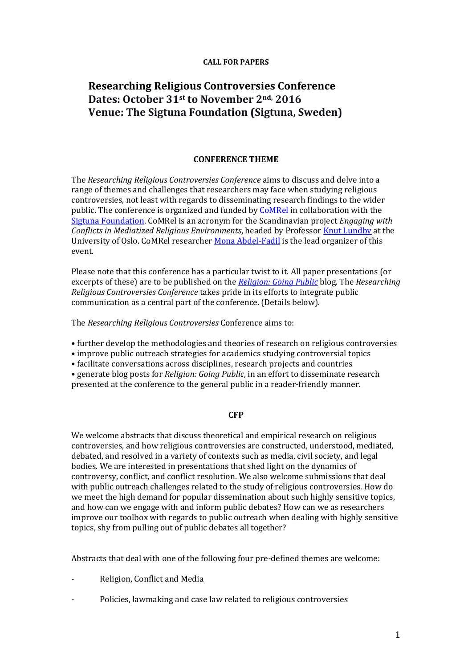#### **CALL FOR PAPERS**

# **Researching Religious Controversies Conference Dates: October 31st to November 2nd, 2016 Venue: The Sigtuna Foundation (Sigtuna, Sweden)**

## **CONFERENCE THEME**

The *Researching Religious Controversies Conference* aims to discuss and delve into a range of themes and challenges that researchers may face when studying religious controversies, not least with regards to disseminating research findings to the wider public. The conference is organized and funded b[y CoMRel](http://www.hf.uio.no/imk/english/research/projects/comrel/) in collaboration with the [Sigtuna Foundation.](http://www.sigtunastiftelsen.se/) CoMRel is an acronym for the Scandinavian project *Engaging with Conflicts in Mediatized Religious Environments*, headed by Professo[r Knut Lundby](http://www.hf.uio.no/imk/english/people/aca/knutl/) at the University of Oslo. CoMRel researcher [Mona Abdel-Fadil](http://www.hf.uio.no/imk/english/people/aca/fadilab/index.html) is the lead organizer of this event.

Please note that this conference has a particular twist to it. All paper presentations (or excerpts of these) are to be published on the *[Religion: Going Public](http://religiongoingpublic.com/)* blog. The *Researching Religious Controversies Conference* takes pride in its efforts to integrate public communication as a central part of the conference. (Details below).

The *Researching Religious Controversies* Conference aims to:

- further develop the methodologies and theories of research on religious controversies
- improve public outreach strategies for academics studying controversial topics
- facilitate conversations across disciplines, research projects and countries
- generate blog posts for *Religion: Going Public*, in an effort to disseminate research presented at the conference to the general public in a reader-friendly manner.

#### **CFP**

We welcome abstracts that discuss theoretical and empirical research on religious controversies, and how religious controversies are constructed, understood, mediated, debated, and resolved in a variety of contexts such as media, civil society, and legal bodies. We are interested in presentations that shed light on the dynamics of controversy, conflict, and conflict resolution. We also welcome submissions that deal with public outreach challenges related to the study of religious controversies. How do we meet the high demand for popular dissemination about such highly sensitive topics, and how can we engage with and inform public debates? How can we as researchers improve our toolbox with regards to public outreach when dealing with highly sensitive topics, shy from pulling out of public debates all together?

Abstracts that deal with one of the following four pre-defined themes are welcome:

- Religion, Conflict and Media
- Policies, lawmaking and case law related to religious controversies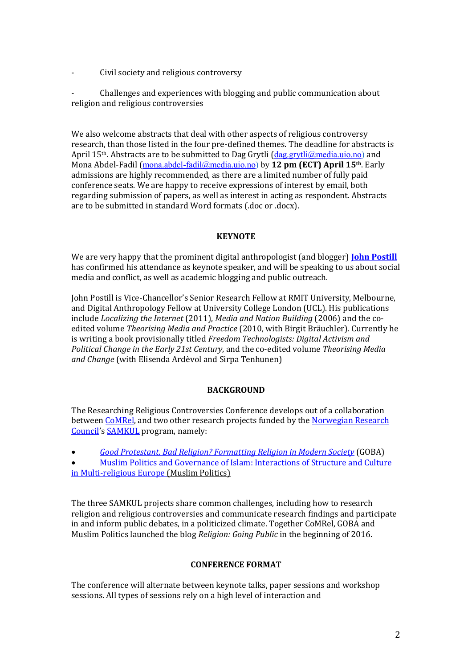- Civil society and religious controversy

- Challenges and experiences with blogging and public communication about religion and religious controversies

We also welcome abstracts that deal with other aspects of religious controversy research, than those listed in the four pre-defined themes. The deadline for abstracts is April 15<sup>th</sup>. Abstracts are to be submitted to Dag Grytli ([dag.grytli@media.uio.no\)](mailto:dag.grytli@media.uio.no) and Mona Abdel-Fadil ([mona.abdel-fadil@media.uio.no\)](mailto:mona.abdel-fadil@media.uio.no) by **12 pm (ECT) April 15th**. Early admissions are highly recommended, as there are a limited number of fully paid conference seats. We are happy to receive expressions of interest by email, both regarding submission of papers, as well as interest in acting as respondent. Abstracts are to be submitted in standard Word formats (.doc or .docx).

## **KEYNOTE**

We are very happy that the prominent digital anthropologist (and blogger) **[John Postill](http://johnpostill.com/about-me/)** has confirmed his attendance as keynote speaker, and will be speaking to us about social media and conflict, as well as academic blogging and public outreach.

John Postill is Vice-Chancellor's Senior Research Fellow at RMIT University, Melbourne, and Digital Anthropology Fellow at University College London (UCL). His publications include *Localizing the Internet* (2011), *Media and Nation Building* (2006) and the coedited volume *Theorising Media and Practice* (2010, with Birgit Bräuchler). Currently he is writing a book provisionally titled *Freedom Technologists: Digital Activism and Political Change in the Early 21st Century*, and the co-edited volume *Theorising Media and Change* (with Elisenda Ardèvol and Sirpa Tenhunen)

#### **BACKGROUND**

The Researching Religious Controversies Conference develops out of a collaboration between [CoMRel,](http://www.hf.uio.no/imk/english/research/projects/comrel/index.html) and two other research projects funded by the Norwegian Research [Council](http://www.forskningsradet.no/en/Home_page/1177315753906)'s [SAMKUL](http://www.forskningsradet.no/prognett-samkul/Home_page/1253964329585) program, namely:

*[Good Protestant, Bad Religion? Formatting Religion in Modern Society](http://www.tf.uio.no/english/research/projects/goba/index.html)* (GOBA)

 [Muslim Politics and Governance of Islam: Interactions of Structure and Culture](http://www.tf.uio.no/english/research/projects/goba/project-hub/)  [in Multi-religious Europe](http://www.tf.uio.no/english/research/projects/goba/project-hub/) (Muslim Politics)

The three SAMKUL projects share common challenges, including how to research religion and religious controversies and communicate research findings and participate in and inform public debates, in a politicized climate. Together CoMRel, GOBA and Muslim Politics launched the blog *Religion: Going Public* in the beginning of 2016.

# **CONFERENCE FORMAT**

The conference will alternate between keynote talks, paper sessions and workshop sessions. All types of sessions rely on a high level of interaction and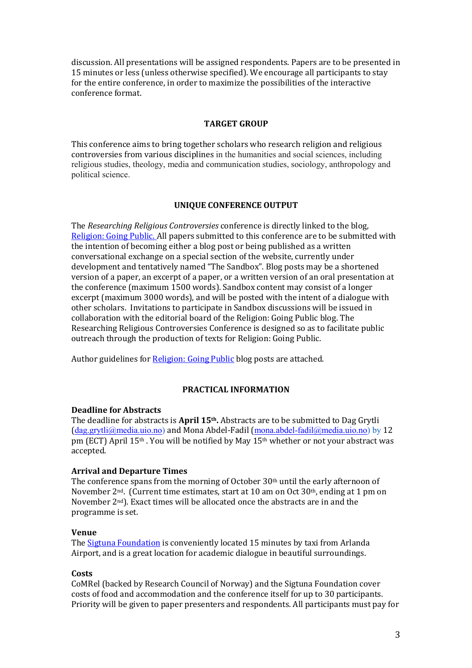discussion. All presentations will be assigned respondents. Papers are to be presented in 15 minutes or less (unless otherwise specified). We encourage all participants to stay for the entire conference, in order to maximize the possibilities of the interactive conference format.

## **TARGET GROUP**

This conference aims to bring together scholars who research religion and religious controversies from various disciplines in the humanities and social sciences, including religious studies, theology, media and communication studies, sociology, anthropology and political science.

## **UNIQUE CONFERENCE OUTPUT**

The *Researching Religious Controversies* conference is directly linked to the blog, [Religion: Going Public.](http://religiongoingpublic.com/) All papers submitted to this conference are to be submitted with the intention of becoming either a blog post or being published as a written conversational exchange on a special section of the website, currently under development and tentatively named "The Sandbox". Blog posts may be a shortened version of a paper, an excerpt of a paper, or a written version of an oral presentation at the conference (maximum 1500 words). Sandbox content may consist of a longer excerpt (maximum 3000 words), and will be posted with the intent of a dialogue with other scholars. Invitations to participate in Sandbox discussions will be issued in collaboration with the editorial board of the Religion: Going Public blog. The Researching Religious Controversies Conference is designed so as to facilitate public outreach through the production of texts for Religion: Going Public.

Author guidelines for **Religion: Going Public** blog posts are attached.

# **PRACTICAL INFORMATION**

# **Deadline for Abstracts**

The deadline for abstracts is **April 15th.** Abstracts are to be submitted to Dag Grytli ([dag.grytli@media.uio.no\)](mailto:dag.grytli@media.uio.no) and Mona Abdel-Fadil ([mona.abdel-fadil@media.uio.no\)](mailto:mona.abdel-fadil@media.uio.no) by 12 pm (ECT) April 15th . You will be notified by May 15th whether or not your abstract was accepted.

# **Arrival and Departure Times**

The conference spans from the morning of October 30th until the early afternoon of November 2<sup>nd</sup>. (Current time estimates, start at 10 am on Oct  $30<sup>th</sup>$ , ending at 1 pm on November 2nd). Exact times will be allocated once the abstracts are in and the programme is set.

#### **Venue**

Th[e Sigtuna Foundation](http://www.sigtunastiftelsen.se/) is conveniently located 15 minutes by taxi from Arlanda Airport, and is a great location for academic dialogue in beautiful surroundings.

#### **Costs**

CoMRel (backed by Research Council of Norway) and the Sigtuna Foundation cover costs of food and accommodation and the conference itself for up to 30 participants. Priority will be given to paper presenters and respondents. All participants must pay for